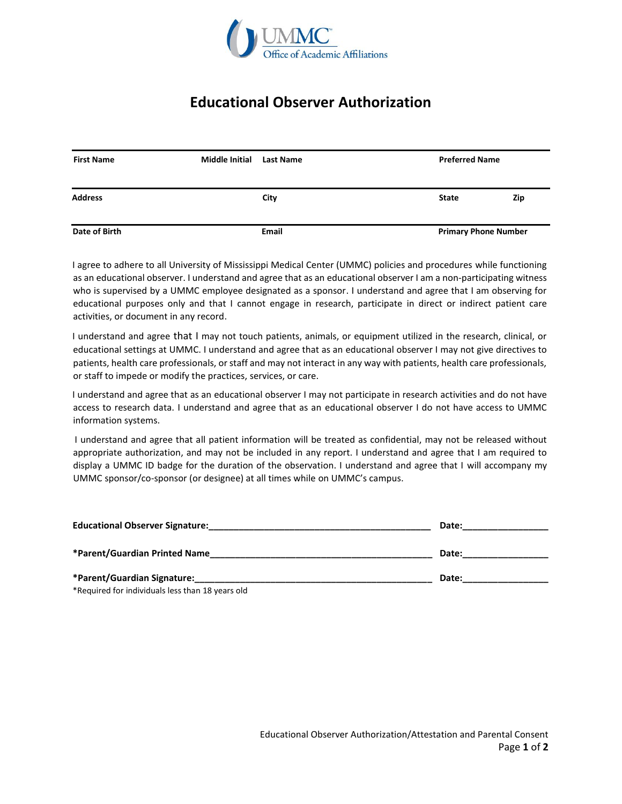

## **Educational Observer Authorization**

| <b>First Name</b> | <b>Middle Initial</b> | <b>Last Name</b> | <b>Preferred Name</b>       |     |
|-------------------|-----------------------|------------------|-----------------------------|-----|
| <b>Address</b>    |                       | City             | <b>State</b>                | Zip |
| Date of Birth     |                       | <b>Email</b>     | <b>Primary Phone Number</b> |     |

I agree to adhere to all University of Mississippi Medical Center (UMMC) policies and procedures while functioning as an educational observer. I understand and agree that as an educational observer I am a non-participating witness who is supervised by a UMMC employee designated as a sponsor. I understand and agree that I am observing for educational purposes only and that I cannot engage in research, participate in direct or indirect patient care activities, or document in any record.

I understand and agree that I may not touch patients, animals, or equipment utilized in the research, clinical, or educational settings at UMMC. I understand and agree that as an educational observer I may not give directives to patients, health care professionals, or staff and may not interact in any way with patients, health care professionals, or staff to impede or modify the practices, services, or care.

I understand and agree that as an educational observer I may not participate in research activities and do not have access to research data. I understand and agree that as an educational observer I do not have access to UMMC information systems.

I understand and agree that all patient information will be treated as confidential, may not be released without appropriate authorization, and may not be included in any report. I understand and agree that I am required to display a UMMC ID badge for the duration of the observation. I understand and agree that I will accompany my UMMC sponsor/co-sponsor (or designee) at all times while on UMMC's campus.

| <b>Educational Observer Signature:</b>           | Date: |
|--------------------------------------------------|-------|
| *Parent/Guardian Printed Name                    | Date: |
| *Parent/Guardian Signature:                      | Date: |
| *Required for individuals less than 18 years old |       |